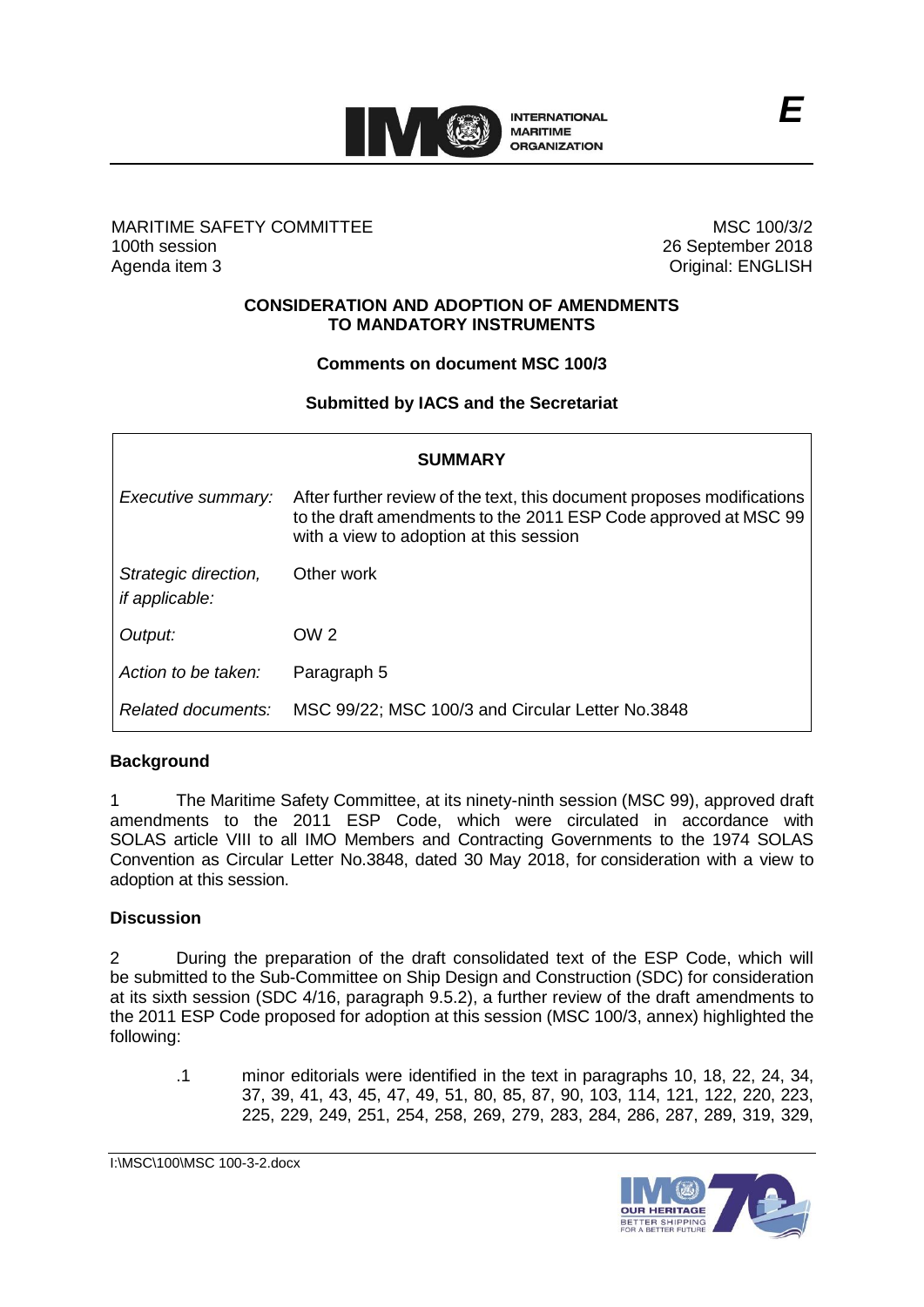

#### MARITIME SAFETY COMMITTEE 100th session Agenda item 3

MSC 100/3/2 26 September 2018 Original: ENGLISH

#### **CONSIDERATION AND ADOPTION OF AMENDMENTS TO MANDATORY INSTRUMENTS**

# **Comments on document MSC 100/3**

# **Submitted by IACS and the Secretariat**

| <b>SUMMARY</b>                                |                                                                                                                                                                                      |
|-----------------------------------------------|--------------------------------------------------------------------------------------------------------------------------------------------------------------------------------------|
| Executive summary:                            | After further review of the text, this document proposes modifications<br>to the draft amendments to the 2011 ESP Code approved at MSC 99<br>with a view to adoption at this session |
| Strategic direction,<br><i>if applicable:</i> | Other work                                                                                                                                                                           |
| Output:                                       | OW <sub>2</sub>                                                                                                                                                                      |
| Action to be taken:                           | Paragraph 5                                                                                                                                                                          |
| Related documents:                            | MSC 99/22; MSC 100/3 and Circular Letter No.3848                                                                                                                                     |

# **Background**

1 The Maritime Safety Committee, at its ninety-ninth session (MSC 99), approved draft amendments to the 2011 ESP Code, which were circulated in accordance with SOLAS article VIII to all IMO Members and Contracting Governments to the 1974 SOLAS Convention as Circular Letter No.3848, dated 30 May 2018, for consideration with a view to adoption at this session.

## **Discussion**

2 During the preparation of the draft consolidated text of the ESP Code, which will be submitted to the Sub-Committee on Ship Design and Construction (SDC) for consideration at its sixth session (SDC 4/16, paragraph 9.5.2), a further review of the draft amendments to the 2011 ESP Code proposed for adoption at this session (MSC 100/3, annex) highlighted the following:

.1 minor editorials were identified in the text in paragraphs 10, 18, 22, 24, 34, 37, 39, 41, 43, 45, 47, 49, 51, 80, 85, 87, 90, 103, 114, 121, 122, 220, 223, 225, 229, 249, 251, 254, 258, 269, 279, 283, 284, 286, 287, 289, 319, 329,

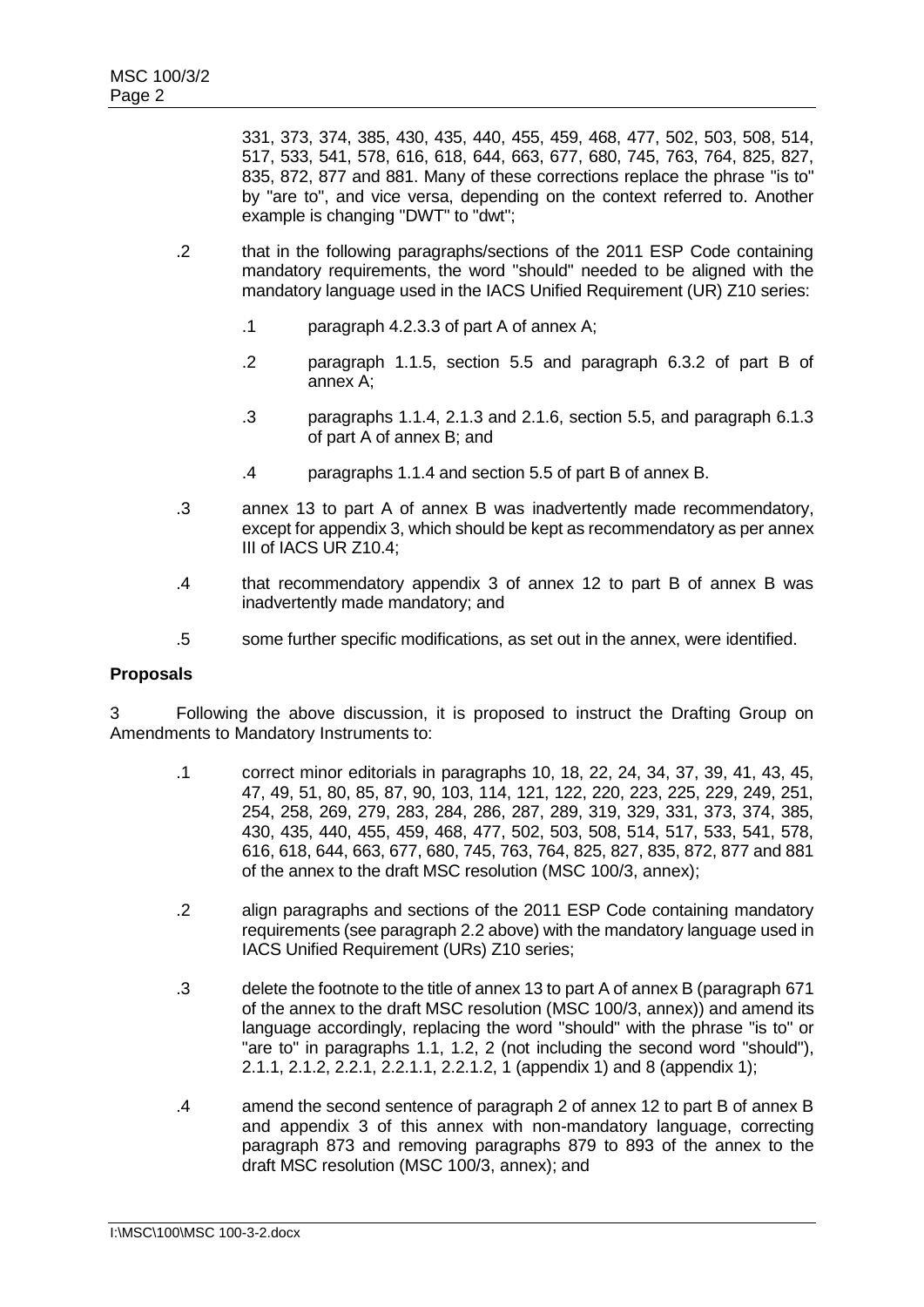331, 373, 374, 385, 430, 435, 440, 455, 459, 468, 477, 502, 503, 508, 514, 517, 533, 541, 578, 616, 618, 644, 663, 677, 680, 745, 763, 764, 825, 827, 835, 872, 877 and 881. Many of these corrections replace the phrase "is to" by "are to", and vice versa, depending on the context referred to. Another example is changing "DWT" to "dwt";

- .2 that in the following paragraphs/sections of the 2011 ESP Code containing mandatory requirements, the word "should" needed to be aligned with the mandatory language used in the IACS Unified Requirement (UR) Z10 series:
	- .1 paragraph 4.2.3.3 of part A of annex A;
	- .2 paragraph 1.1.5, section 5.5 and paragraph 6.3.2 of part B of annex A;
	- .3 paragraphs 1.1.4, 2.1.3 and 2.1.6, section 5.5, and paragraph 6.1.3 of part A of annex B; and
	- .4 paragraphs 1.1.4 and section 5.5 of part B of annex B.
- .3 annex 13 to part A of annex B was inadvertently made recommendatory, except for appendix 3, which should be kept as recommendatory as per annex III of IACS UR Z10.4;
- .4 that recommendatory appendix 3 of annex 12 to part B of annex B was inadvertently made mandatory; and
- .5 some further specific modifications, as set out in the annex, were identified.

## **Proposals**

3 Following the above discussion, it is proposed to instruct the Drafting Group on Amendments to Mandatory Instruments to:

- .1 correct minor editorials in paragraphs 10, 18, 22, 24, 34, 37, 39, 41, 43, 45, 47, 49, 51, 80, 85, 87, 90, 103, 114, 121, 122, 220, 223, 225, 229, 249, 251, 254, 258, 269, 279, 283, 284, 286, 287, 289, 319, 329, 331, 373, 374, 385, 430, 435, 440, 455, 459, 468, 477, 502, 503, 508, 514, 517, 533, 541, 578, 616, 618, 644, 663, 677, 680, 745, 763, 764, 825, 827, 835, 872, 877 and 881 of the annex to the draft MSC resolution (MSC 100/3, annex);
- .2 align paragraphs and sections of the 2011 ESP Code containing mandatory requirements (see paragraph 2.2 above) with the mandatory language used in IACS Unified Requirement (URs) Z10 series;
- .3 delete the footnote to the title of annex 13 to part A of annex B (paragraph 671 of the annex to the draft MSC resolution (MSC 100/3, annex)) and amend its language accordingly, replacing the word "should" with the phrase "is to" or "are to" in paragraphs 1.1, 1.2, 2 (not including the second word "should"), 2.1.1, 2.1.2, 2.2.1, 2.2.1.1, 2.2.1.2, 1 (appendix 1) and 8 (appendix 1);
- .4 amend the second sentence of paragraph 2 of annex 12 to part B of annex B and appendix 3 of this annex with non-mandatory language, correcting paragraph 873 and removing paragraphs 879 to 893 of the annex to the draft MSC resolution (MSC 100/3, annex); and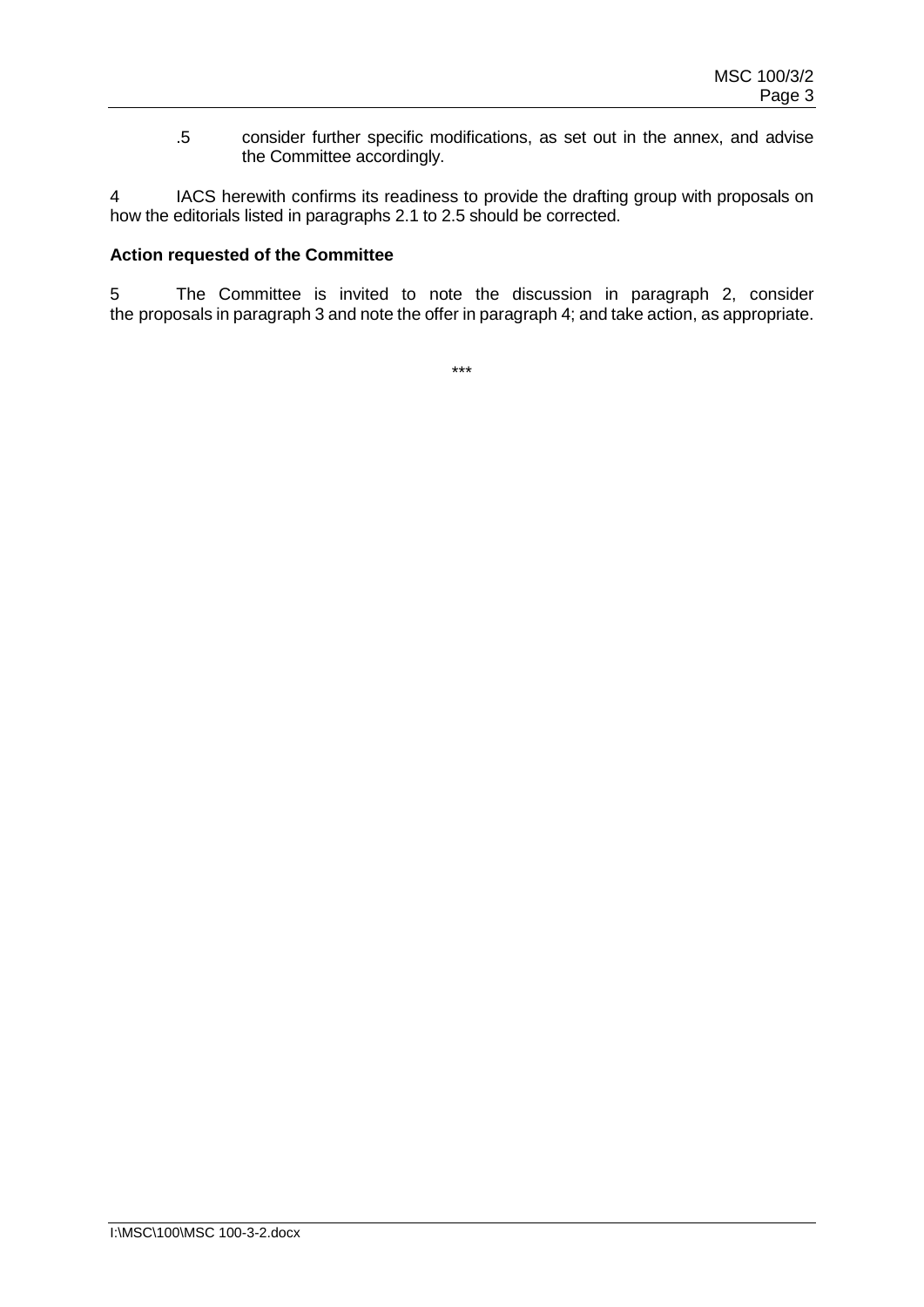.5 consider further specific modifications, as set out in the annex, and advise the Committee accordingly.

4 IACS herewith confirms its readiness to provide the drafting group with proposals on how the editorials listed in paragraphs 2.1 to 2.5 should be corrected.

## **Action requested of the Committee**

5 The Committee is invited to note the discussion in paragraph 2, consider the proposals in paragraph 3 and note the offer in paragraph 4; and take action, as appropriate.

\*\*\*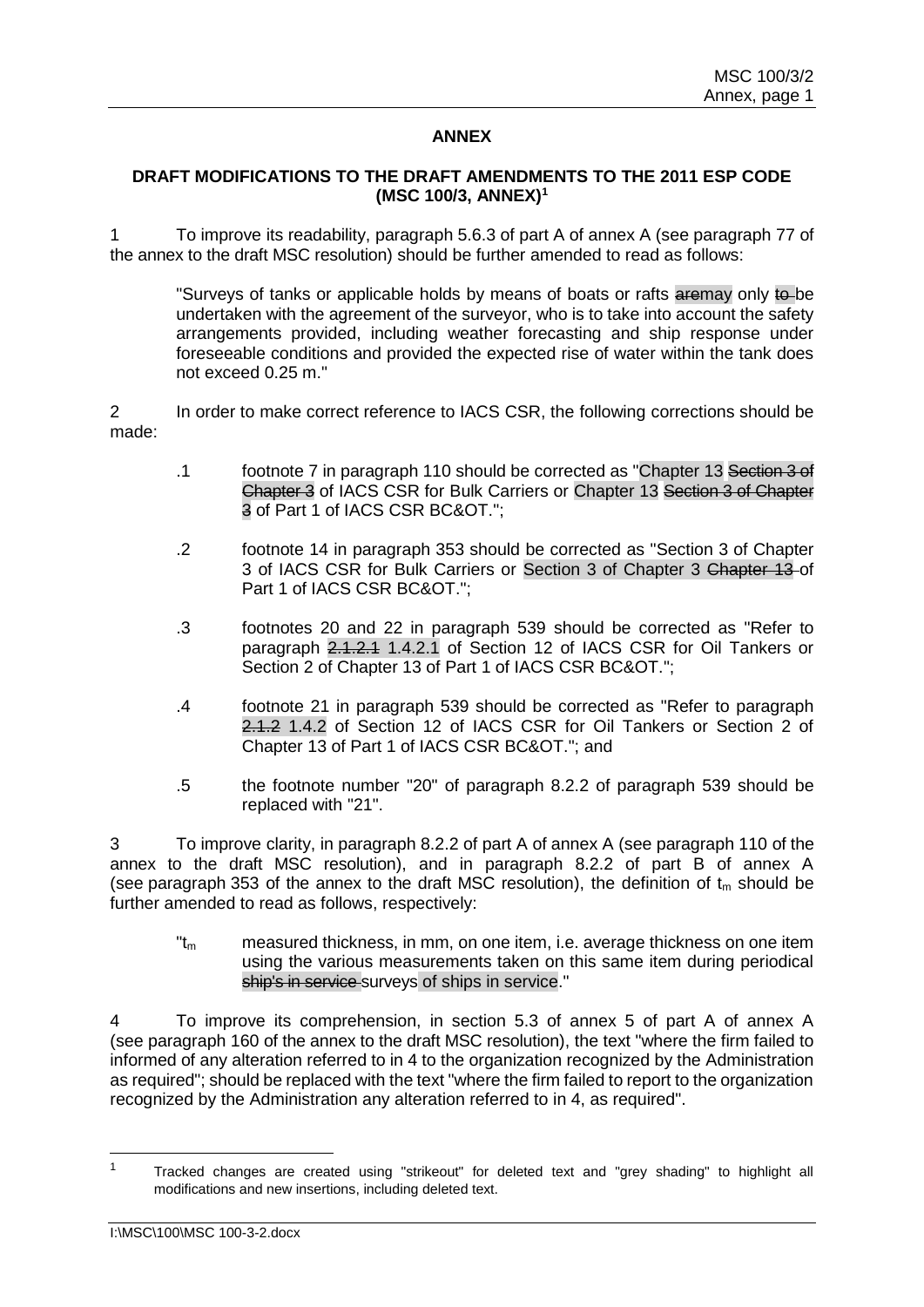## **ANNEX**

#### **DRAFT MODIFICATIONS TO THE DRAFT AMENDMENTS TO THE 2011 ESP CODE (MSC 100/3, ANNEX)<sup>1</sup>**

1 To improve its readability, paragraph 5.6.3 of part A of annex A (see paragraph 77 of the annex to the draft MSC resolution) should be further amended to read as follows:

"Surveys of tanks or applicable holds by means of boats or rafts aremay only to-be undertaken with the agreement of the surveyor, who is to take into account the safety arrangements provided, including weather forecasting and ship response under foreseeable conditions and provided the expected rise of water within the tank does not exceed 0.25 m."

2 In order to make correct reference to IACS CSR, the following corrections should be made:

- .1 footnote 7 in paragraph 110 should be corrected as "Chapter 13 Section 3 of Chapter 3 of IACS CSR for Bulk Carriers or Chapter 13 Section 3 of Chapter 3 of Part 1 of IACS CSR BC&OT.";
- .2 footnote 14 in paragraph 353 should be corrected as "Section 3 of Chapter 3 of IACS CSR for Bulk Carriers or Section 3 of Chapter 3 Chapter 13 of Part 1 of IACS CSR BC&OT.";
- .3 footnotes 20 and 22 in paragraph 539 should be corrected as "Refer to paragraph 2.1.2.1 1.4.2.1 of Section 12 of IACS CSR for Oil Tankers or Section 2 of Chapter 13 of Part 1 of IACS CSR BC&OT.";
- .4 footnote 21 in paragraph 539 should be corrected as "Refer to paragraph 2.1.2 1.4.2 of Section 12 of IACS CSR for Oil Tankers or Section 2 of Chapter 13 of Part 1 of IACS CSR BC&OT."; and
- .5 the footnote number "20" of paragraph 8.2.2 of paragraph 539 should be replaced with "21".

3 To improve clarity, in paragraph 8.2.2 of part A of annex A (see paragraph 110 of the annex to the draft MSC resolution), and in paragraph 8.2.2 of part B of annex A (see paragraph 353 of the annex to the draft MSC resolution), the definition of  $t_m$  should be further amended to read as follows, respectively:

 $"t<sub>m</sub>$  measured thickness, in mm, on one item, i.e. average thickness on one item using the various measurements taken on this same item during periodical ship's in service surveys of ships in service."

4 To improve its comprehension, in section 5.3 of annex 5 of part A of annex A (see paragraph 160 of the annex to the draft MSC resolution), the text "where the firm failed to informed of any alteration referred to in 4 to the organization recognized by the Administration as required"; should be replaced with the text "where the firm failed to report to the organization recognized by the Administration any alteration referred to in 4, as required".

<sup>&</sup>lt;sup>1</sup> Tracked changes are created using "strikeout" for deleted text and "grey shading" to highlight all modifications and new insertions, including deleted text.